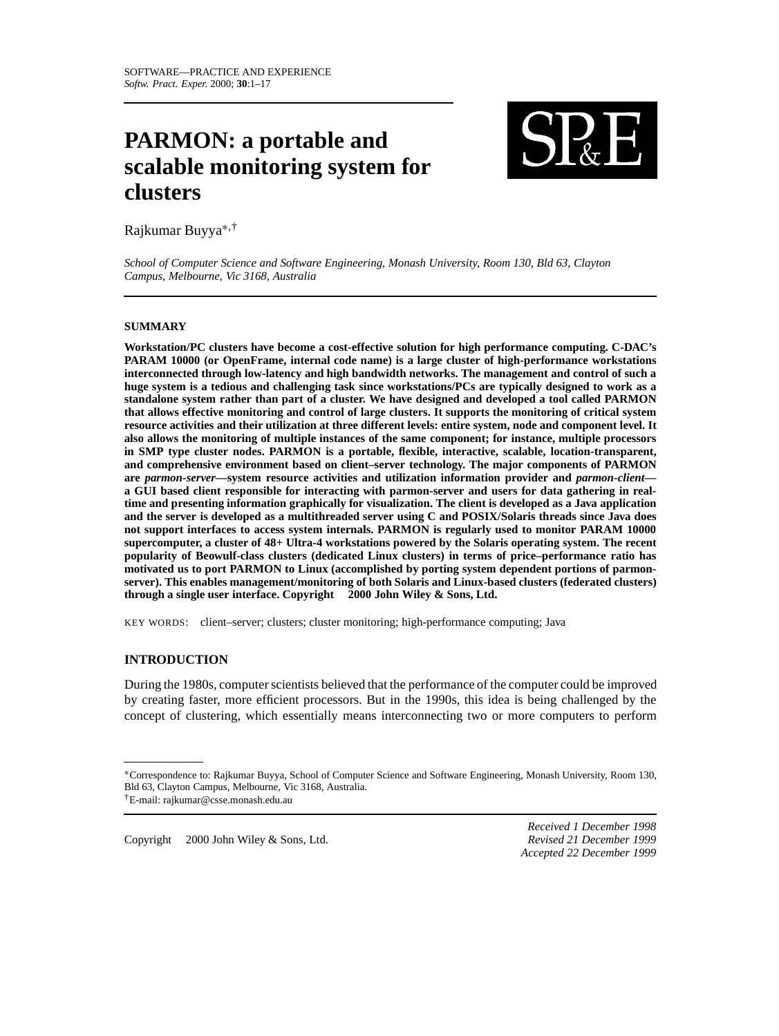# **PARMON: a portable and scalable monitoring system for clusters**



Rajkumar Buyya∗,†

*School of Computer Science and Software Engineering, Monash University, Room 130, Bld 63, Clayton Campus, Melbourne, Vic 3168, Australia*

#### **SUMMARY**

**Workstation/PC clusters have become a cost-effective solution for high performance computing. C-DAC's PARAM 10000 (or OpenFrame, internal code name) is a large cluster of high-performance workstations interconnected through low-latency and high bandwidth networks. The management and control of such a huge system is a tedious and challenging task since workstations/PCs are typically designed to work as a standalone system rather than part of a cluster. We have designed and developed a tool called PARMON that allows effective monitoring and control of large clusters. It supports the monitoring of critical system resource activities and their utilization at three different levels: entire system, node and component level. It also allows the monitoring of multiple instances of the same component; for instance, multiple processors in SMP type cluster nodes. PARMON is a portable, flexible, interactive, scalable, location-transparent, and comprehensive environment based on client–server technology. The major components of PARMON are** *parmon-server***—system resource activities and utilization information provider and** *parmon-client* **a GUI based client responsible for interacting with parmon-server and users for data gathering in realtime and presenting information graphically for visualization. The client is developed as a Java application and the server is developed as a multithreaded server using C and POSIX/Solaris threads since Java does not support interfaces to access system internals. PARMON is regularly used to monitor PARAM 10000 supercomputer, a cluster of 48+ Ultra-4 workstations powered by the Solaris operating system. The recent popularity of Beowulf-class clusters (dedicated Linux clusters) in terms of price–performance ratio has motivated us to port PARMON to Linux (accomplished by porting system dependent portions of parmonserver). This enables management/monitoring of both Solaris and Linux-based clusters (federated clusters) through a single user interface. Copyright 2000 John Wiley & Sons, Ltd.**

KEY WORDS: client–server; clusters; cluster monitoring; high-performance computing; Java

## **INTRODUCTION**

During the 1980s, computer scientists believed that the performance of the computer could be improved by creating faster, more efficient processors. But in the 1990s, this idea is being challenged by the concept of clustering, which essentially means interconnecting two or more computers to perform

Copyright  $@$  2000 John Wiley & Sons, Ltd.

*Received 1 December 1998 Accepted 22 December 1999*

<sup>∗</sup>Correspondence to: Rajkumar Buyya, School of Computer Science and Software Engineering, Monash University, Room 130, Bld 63, Clayton Campus, Melbourne, Vic 3168, Australia. †E-mail: rajkumar@csse.monash.edu.au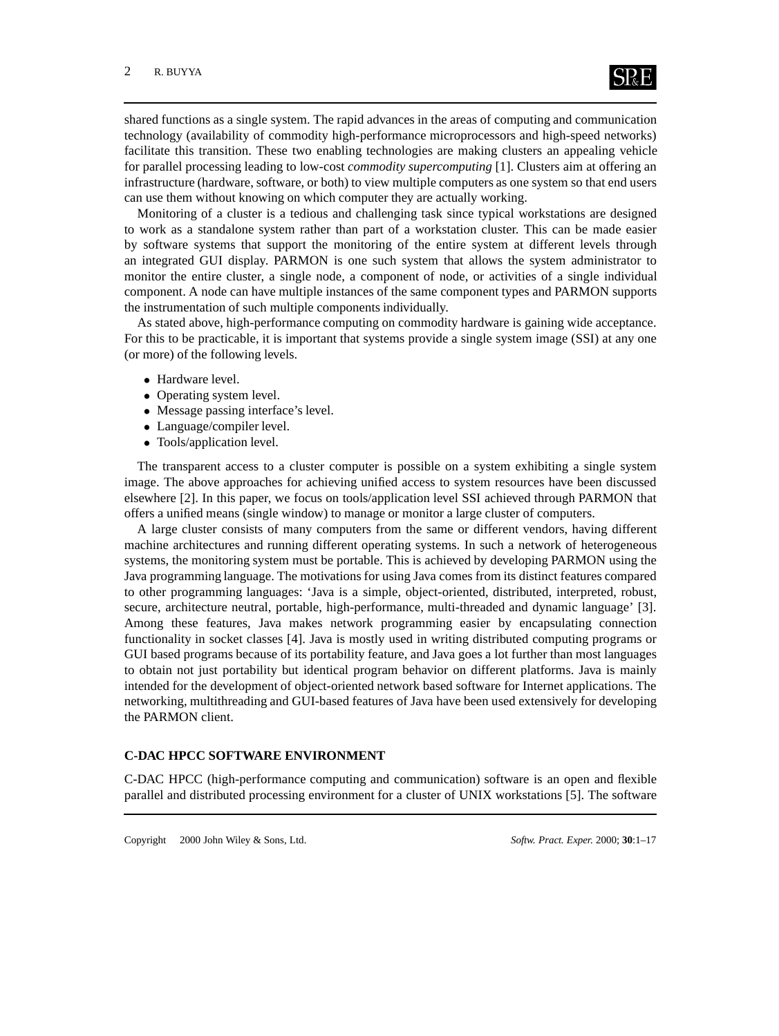shared functions as a single system. The rapid advances in the areas of computing and communication technology (availability of commodity high-performance microprocessors and high-speed networks) facilitate this transition. These two enabling technologies are making clusters an appealing vehicle for parallel processing leading to low-cost *commodity supercomputing* [1]. Clusters aim at offering an infrastructure (hardware, software, or both) to view multiple computers as one system so that end users can use them without knowing on which computer they are actually working.

Monitoring of a cluster is a tedious and challenging task since typical workstations are designed to work as a standalone system rather than part of a workstation cluster. This can be made easier by software systems that support the monitoring of the entire system at different levels through an integrated GUI display. PARMON is one such system that allows the system administrator to monitor the entire cluster, a single node, a component of node, or activities of a single individual component. A node can have multiple instances of the same component types and PARMON supports the instrumentation of such multiple components individually.

As stated above, high-performance computing on commodity hardware is gaining wide acceptance. For this to be practicable, it is important that systems provide a single system image (SSI) at any one (or more) of the following levels.

- Hardware level.
- Operating system level.
- Message passing interface's level.
- Language/compiler level.
- Tools/application level.

The transparent access to a cluster computer is possible on a system exhibiting a single system image. The above approaches for achieving unified access to system resources have been discussed elsewhere [2]. In this paper, we focus on tools/application level SSI achieved through PARMON that offers a unified means (single window) to manage or monitor a large cluster of computers.

A large cluster consists of many computers from the same or different vendors, having different machine architectures and running different operating systems. In such a network of heterogeneous systems, the monitoring system must be portable. This is achieved by developing PARMON using the Java programming language. The motivations for using Java comes from its distinct features compared to other programming languages: 'Java is a simple, object-oriented, distributed, interpreted, robust, secure, architecture neutral, portable, high-performance, multi-threaded and dynamic language' [3]. Among these features, Java makes network programming easier by encapsulating connection functionality in socket classes [4]. Java is mostly used in writing distributed computing programs or GUI based programs because of its portability feature, and Java goes a lot further than most languages to obtain not just portability but identical program behavior on different platforms. Java is mainly intended for the development of object-oriented network based software for Internet applications. The networking, multithreading and GUI-based features of Java have been used extensively for developing the PARMON client.

#### **C-DAC HPCC SOFTWARE ENVIRONMENT**

C-DAC HPCC (high-performance computing and communication) software is an open and flexible parallel and distributed processing environment for a cluster of UNIX workstations [5]. The software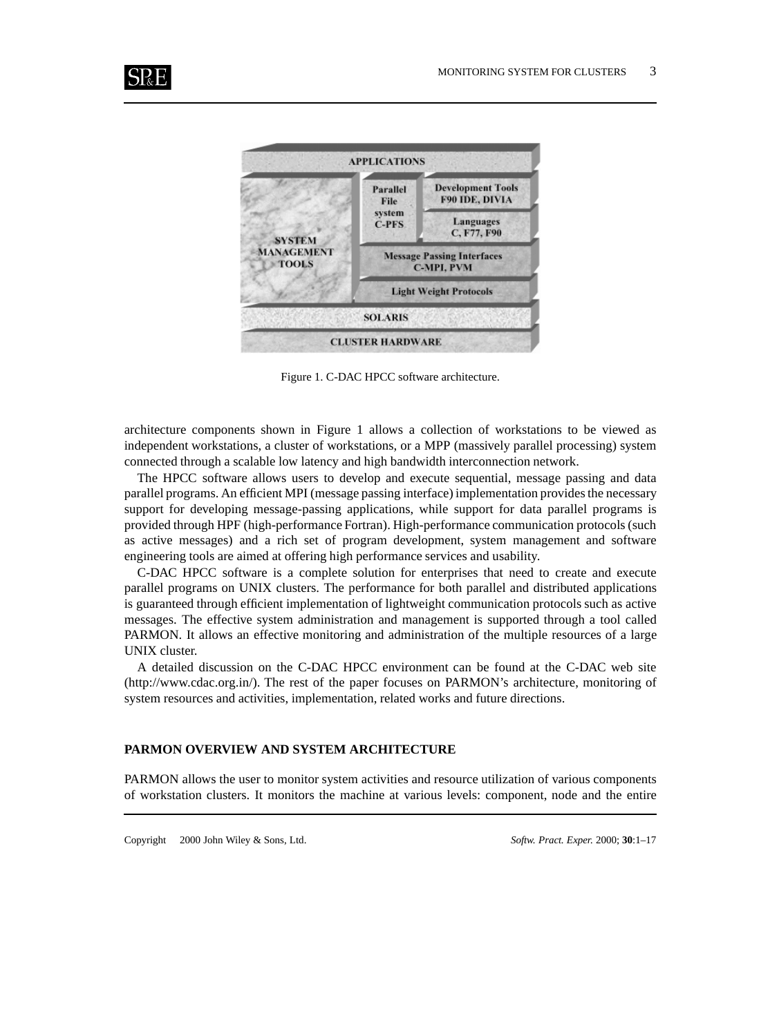

Figure 1. C-DAC HPCC software architecture.

architecture components shown in Figure 1 allows a collection of workstations to be viewed as independent workstations, a cluster of workstations, or a MPP (massively parallel processing) system connected through a scalable low latency and high bandwidth interconnection network.

The HPCC software allows users to develop and execute sequential, message passing and data parallel programs. An efficient MPI (message passing interface) implementation provides the necessary support for developing message-passing applications, while support for data parallel programs is provided through HPF (high-performance Fortran). High-performance communication protocols (such as active messages) and a rich set of program development, system management and software engineering tools are aimed at offering high performance services and usability.

C-DAC HPCC software is a complete solution for enterprises that need to create and execute parallel programs on UNIX clusters. The performance for both parallel and distributed applications is guaranteed through efficient implementation of lightweight communication protocols such as active messages. The effective system administration and management is supported through a tool called PARMON. It allows an effective monitoring and administration of the multiple resources of a large UNIX cluster.

A detailed discussion on the C-DAC HPCC environment can be found at the C-DAC web site (http://www.cdac.org.in/). The rest of the paper focuses on PARMON's architecture, monitoring of system resources and activities, implementation, related works and future directions.

## **PARMON OVERVIEW AND SYSTEM ARCHITECTURE**

PARMON allows the user to monitor system activities and resource utilization of various components of workstation clusters. It monitors the machine at various levels: component, node and the entire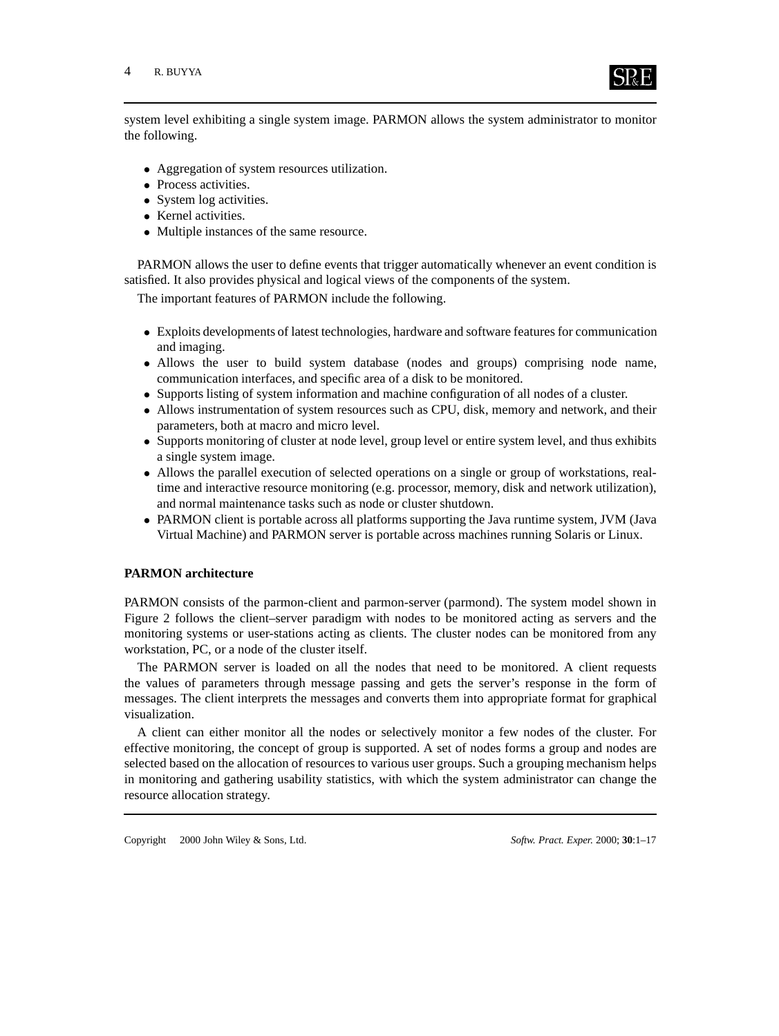

system level exhibiting a single system image. PARMON allows the system administrator to monitor the following.

- Aggregation of system resources utilization.
- Process activities.
- System log activities.
- Kernel activities.
- Multiple instances of the same resource.

PARMON allows the user to define events that trigger automatically whenever an event condition is satisfied. It also provides physical and logical views of the components of the system.

The important features of PARMON include the following.

- Exploits developments of latest technologies, hardware and software features for communication and imaging.
- Allows the user to build system database (nodes and groups) comprising node name, communication interfaces, and specific area of a disk to be monitored.
- Supports listing of system information and machine configuration of all nodes of a cluster.
- Allows instrumentation of system resources such as CPU, disk, memory and network, and their parameters, both at macro and micro level.
- Supports monitoring of cluster at node level, group level or entire system level, and thus exhibits a single system image.
- Allows the parallel execution of selected operations on a single or group of workstations, realtime and interactive resource monitoring (e.g. processor, memory, disk and network utilization), and normal maintenance tasks such as node or cluster shutdown.
- PARMON client is portable across all platforms supporting the Java runtime system, JVM (Java Virtual Machine) and PARMON server is portable across machines running Solaris or Linux.

#### **PARMON architecture**

PARMON consists of the parmon-client and parmon-server (parmond). The system model shown in Figure 2 follows the client–server paradigm with nodes to be monitored acting as servers and the monitoring systems or user-stations acting as clients. The cluster nodes can be monitored from any workstation, PC, or a node of the cluster itself.

The PARMON server is loaded on all the nodes that need to be monitored. A client requests the values of parameters through message passing and gets the server's response in the form of messages. The client interprets the messages and converts them into appropriate format for graphical visualization.

A client can either monitor all the nodes or selectively monitor a few nodes of the cluster. For effective monitoring, the concept of group is supported. A set of nodes forms a group and nodes are selected based on the allocation of resources to various user groups. Such a grouping mechanism helps in monitoring and gathering usability statistics, with which the system administrator can change the resource allocation strategy.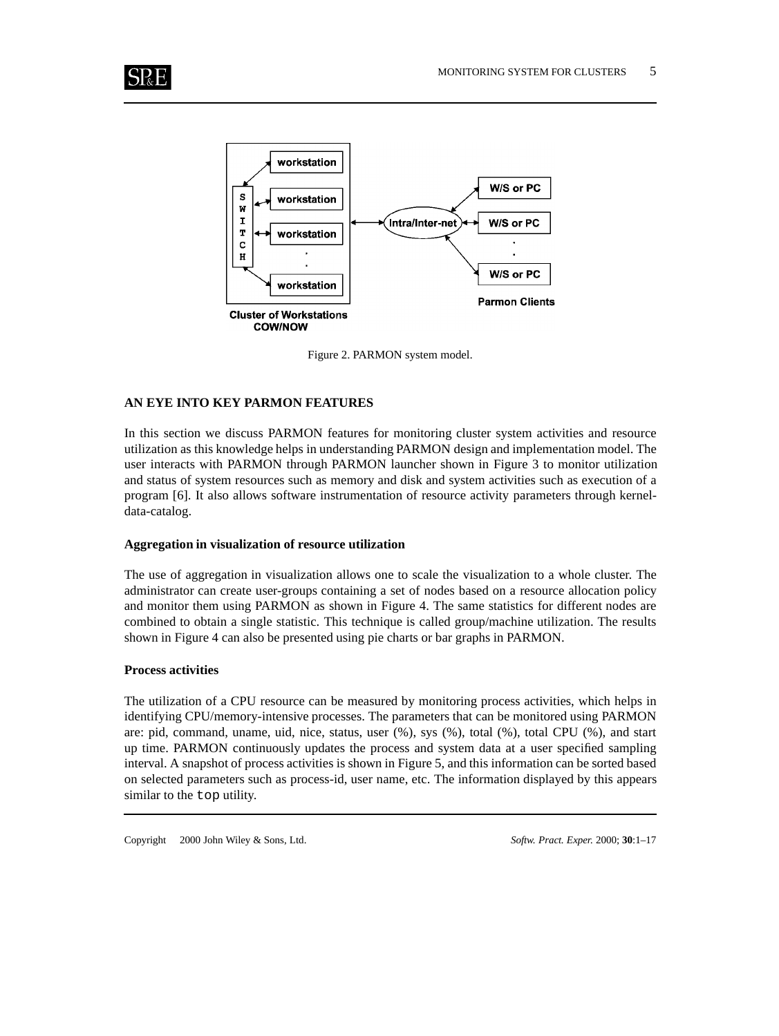



Figure 2. PARMON system model.

# **AN EYE INTO KEY PARMON FEATURES**

In this section we discuss PARMON features for monitoring cluster system activities and resource utilization as this knowledge helps in understanding PARMON design and implementation model. The user interacts with PARMON through PARMON launcher shown in Figure 3 to monitor utilization and status of system resources such as memory and disk and system activities such as execution of a program [6]. It also allows software instrumentation of resource activity parameters through kerneldata-catalog.

## **Aggregation in visualization of resource utilization**

The use of aggregation in visualization allows one to scale the visualization to a whole cluster. The administrator can create user-groups containing a set of nodes based on a resource allocation policy and monitor them using PARMON as shown in Figure 4. The same statistics for different nodes are combined to obtain a single statistic. This technique is called group/machine utilization. The results shown in Figure 4 can also be presented using pie charts or bar graphs in PARMON.

## **Process activities**

The utilization of a CPU resource can be measured by monitoring process activities, which helps in identifying CPU/memory-intensive processes. The parameters that can be monitored using PARMON are: pid, command, uname, uid, nice, status, user (%), sys (%), total (%), total CPU (%), and start up time. PARMON continuously updates the process and system data at a user specified sampling interval. A snapshot of process activities is shown in Figure 5, and this information can be sorted based on selected parameters such as process-id, user name, etc. The information displayed by this appears similar to the top utility.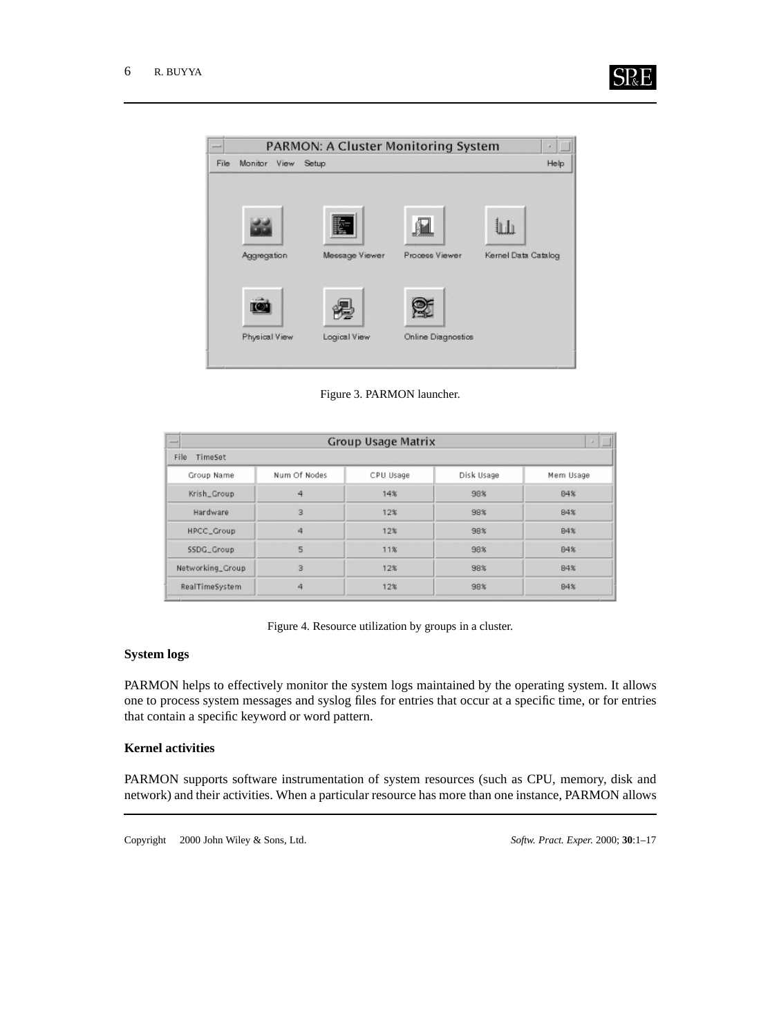

|      |                 | PARMON: A Cluster Monitoring System |                    | а                   |
|------|-----------------|-------------------------------------|--------------------|---------------------|
| File | Monitor<br>View | Setup                               |                    | Help                |
|      |                 |                                     |                    |                     |
|      |                 |                                     |                    |                     |
|      |                 |                                     |                    |                     |
|      |                 |                                     |                    |                     |
|      | Aggregation     | Message Viewer                      | Process Viewer     | Kernel Data Catalog |
|      |                 |                                     |                    |                     |
|      |                 |                                     |                    |                     |
|      |                 |                                     |                    |                     |
|      | Physical View   | Logical View                        | Online Diagnostics |                     |
|      |                 |                                     |                    |                     |
|      |                 |                                     |                    |                     |

Figure 3. PARMON launcher.

| Group Usage Matrix<br>$\mathcal{A}$ .<br>$-$ |                |           |            |           |  |  |  |  |  |  |
|----------------------------------------------|----------------|-----------|------------|-----------|--|--|--|--|--|--|
| File<br>TimeSet                              |                |           |            |           |  |  |  |  |  |  |
| Group Name                                   | Num Of Nodes   | CPU Usage | Disk Usage | Mem Usage |  |  |  |  |  |  |
| Krish_Group                                  | 4              | 14%       | 98%        | 84%       |  |  |  |  |  |  |
| Hardware                                     | 3              | 12%       | 98%        | 84%       |  |  |  |  |  |  |
| HPCC_Group                                   | 4              | 12%       | 98%        | 84%       |  |  |  |  |  |  |
| SSDG_Group                                   | 5              | 11%       | 98%        | 84%       |  |  |  |  |  |  |
| Networking_Group                             | 3              | 12%       | 98%        | 84%       |  |  |  |  |  |  |
| RealTimeSystem                               | $\overline{a}$ | 12%       | 98%        | 84%       |  |  |  |  |  |  |

Figure 4. Resource utilization by groups in a cluster.

# **System logs**

PARMON helps to effectively monitor the system logs maintained by the operating system. It allows one to process system messages and syslog files for entries that occur at a specific time, or for entries that contain a specific keyword or word pattern.

# **Kernel activities**

PARMON supports software instrumentation of system resources (such as CPU, memory, disk and network) and their activities. When a particular resource has more than one instance, PARMON allows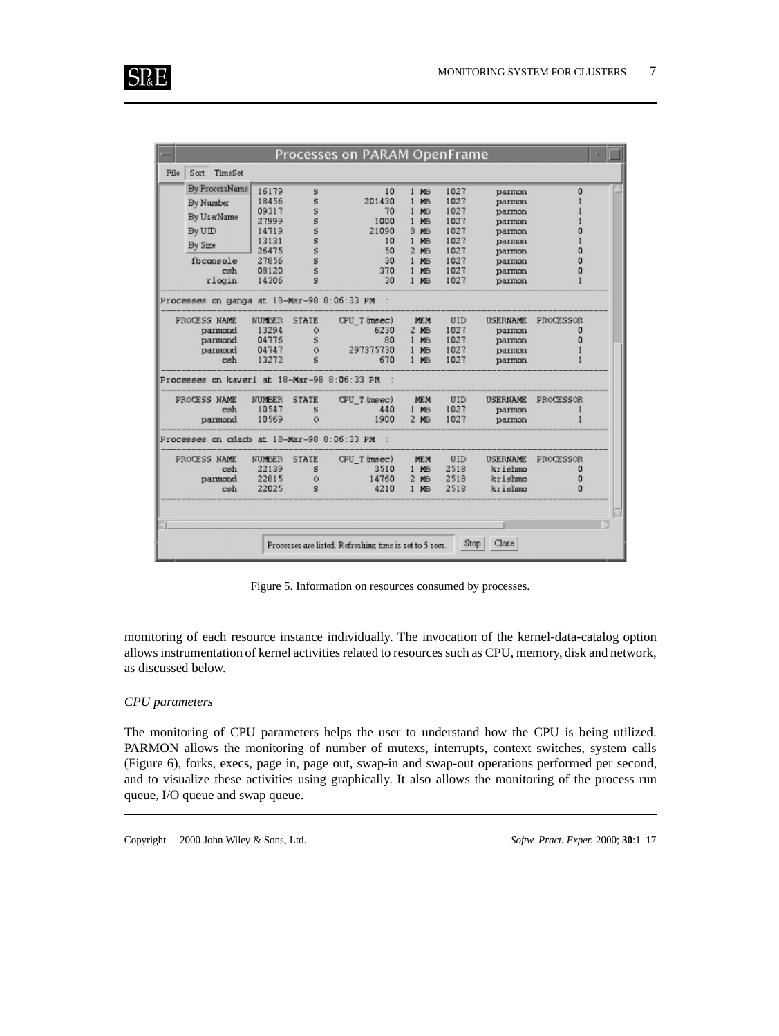$SL<sub>8</sub>E$ 

|      |                                             |               |                         | Processes on PARAM OpenFrame                            |                           |      |                 |           |  |
|------|---------------------------------------------|---------------|-------------------------|---------------------------------------------------------|---------------------------|------|-----------------|-----------|--|
| File | Sort TimeSet                                |               |                         |                                                         |                           |      |                 |           |  |
|      | By ProcessName                              | 16179         | S                       | 10                                                      | $1$ MB                    | 1027 | parmon          | ٥         |  |
|      | By Number                                   | 18456         | $\overline{\mathbf{s}}$ | 201430                                                  | $1$ M <sub>B</sub>        | 1027 | parmon          |           |  |
|      |                                             | 09317         | s                       | 70                                                      | $\mathbf{1}$<br><b>MB</b> | 1027 | parmon          |           |  |
|      | By UserName                                 | 27999         | S                       | 1000                                                    | <b>MB</b><br>$\mathbf{1}$ | 1027 | parmon          |           |  |
|      | By UID                                      | 14719         | s                       | 21090                                                   | MB<br>8.                  | 1027 | parmon          |           |  |
|      | <b>By Size</b>                              | 13131         | s                       | 10                                                      | $\mathbf{1}$<br><b>MB</b> | 1027 | parmon          |           |  |
|      |                                             | 26475         | Ś                       | 50                                                      | 2 MB                      | 1027 | parmon          | n         |  |
|      | fbconsole                                   | 27856         | Ś                       | 30                                                      | <b>MB</b><br>$\mathbf{1}$ | 1027 | parmon          | o         |  |
|      | csh                                         | 08120         | s                       | 370                                                     | $\mathbf{1}$<br><b>NB</b> | 1027 | parmon          | 0         |  |
|      | rlogin                                      | 14306         | Ś                       | 30                                                      | 1 MB                      | 1027 | parmon          | 1         |  |
|      | Processes on ganga at 18-Mar-98 8:06:33 PM  |               |                         |                                                         |                           |      |                 |           |  |
|      | PROCESS NAME                                | <b>NUMBER</b> | <b>STATE</b>            | CPU T (msec)                                            | MEM                       | UID  | USERNAME        | PROCESSOR |  |
|      | parmond                                     | 13294         | $\circ$                 | 6230                                                    | 2 MB                      | 1027 | parmon          | Ω         |  |
|      | parmond                                     | 04776         | s                       | 80                                                      | $1$ MB                    | 1027 | parmon          | Ω         |  |
|      | 04747<br>parmond                            |               | Ō                       | 297375730                                               | $\mathbf{1}$<br><b>NB</b> | 1027 | parmon          |           |  |
|      | csh                                         | 13272         | s                       | 670                                                     | 1 MB                      | 1027 | parmon          |           |  |
|      | Processes on kaveri at 18-Mar-98 8:06:33 PM |               |                         |                                                         |                           |      |                 |           |  |
|      | PROCESS NAME                                | <b>NUMBER</b> | <b>STATE</b>            | CPU T (msec)                                            | MEM                       | UID  | <b>USERNAME</b> | PROCESSOR |  |
|      | csh                                         |               | S                       | 440                                                     | $1 \mathbf{m}$            | 1027 | parmon          |           |  |
|      | parmond                                     | 10569         | Ŏ                       | 1900                                                    | 2 MB                      | 1027 | parmon          |           |  |
|      | Processes on cdacb at 18-Mar-98 8:06:33 PM  |               |                         |                                                         |                           |      |                 |           |  |
|      | PROCESS NAME                                | <b>NUMBER</b> | <b>STATE</b>            | CPU I (msec)                                            | MEM.                      | UID  | <b>USERNAME</b> | PROCESSOR |  |
|      | csh                                         | 22139         | s                       | 3510                                                    | $1$ MB                    | 2518 | krishmo         | ۵         |  |
|      | parmond                                     | 22815         | Ō                       | 14760                                                   | 2 MB                      | 2518 | krishmo         | 0         |  |
|      | csh                                         | 22025         | s                       | 4210                                                    | 1 MB                      | 2518 | krishmo         | 0         |  |
|      |                                             |               |                         |                                                         |                           |      |                 |           |  |
|      |                                             |               |                         |                                                         |                           |      |                 |           |  |
|      |                                             |               |                         |                                                         |                           |      |                 |           |  |
|      |                                             |               |                         | Processes are listed. Refreshing time is set to 5 secs. |                           | Stop | Close           |           |  |

Figure 5. Information on resources consumed by processes.

monitoring of each resource instance individually. The invocation of the kernel-data-catalog option allows instrumentation of kernel activities related to resources such as CPU, memory, disk and network, as discussed below.

## *CPU parameters*

The monitoring of CPU parameters helps the user to understand how the CPU is being utilized. PARMON allows the monitoring of number of mutexs, interrupts, context switches, system calls (Figure 6), forks, execs, page in, page out, swap-in and swap-out operations performed per second, and to visualize these activities using graphically. It also allows the monitoring of the process run queue, I/O queue and swap queue.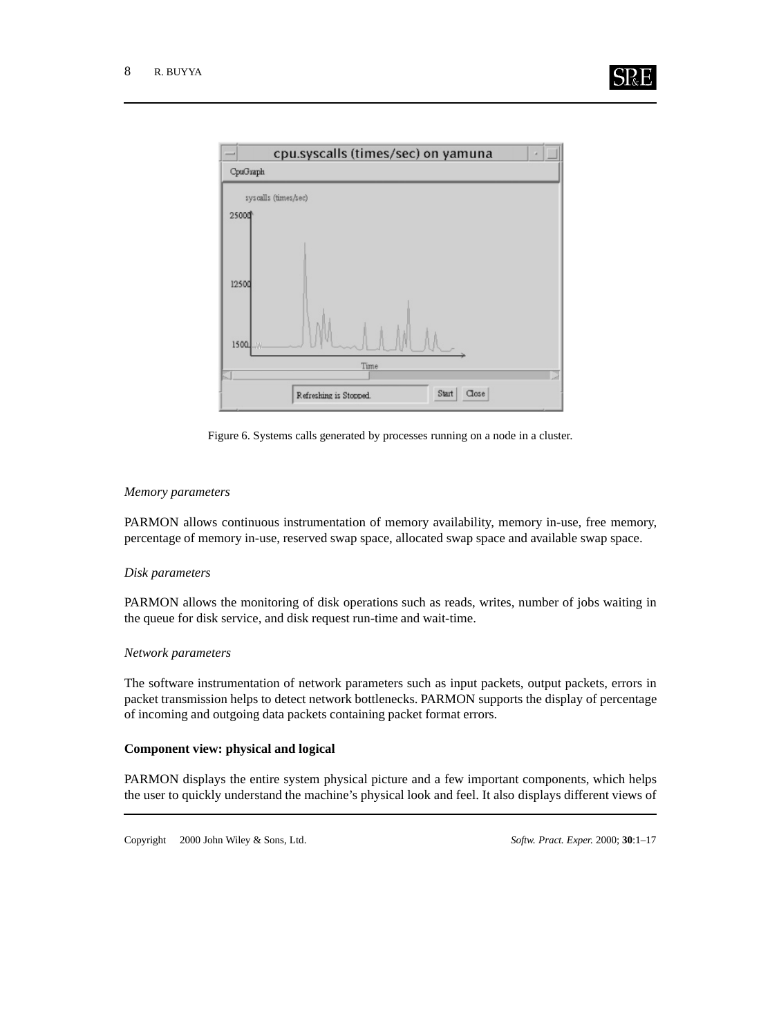

Figure 6. Systems calls generated by processes running on a node in a cluster.

#### *Memory parameters*

PARMON allows continuous instrumentation of memory availability, memory in-use, free memory, percentage of memory in-use, reserved swap space, allocated swap space and available swap space.

## *Disk parameters*

PARMON allows the monitoring of disk operations such as reads, writes, number of jobs waiting in the queue for disk service, and disk request run-time and wait-time.

#### *Network parameters*

The software instrumentation of network parameters such as input packets, output packets, errors in packet transmission helps to detect network bottlenecks. PARMON supports the display of percentage of incoming and outgoing data packets containing packet format errors.

## **Component view: physical and logical**

PARMON displays the entire system physical picture and a few important components, which helps the user to quickly understand the machine's physical look and feel. It also displays different views of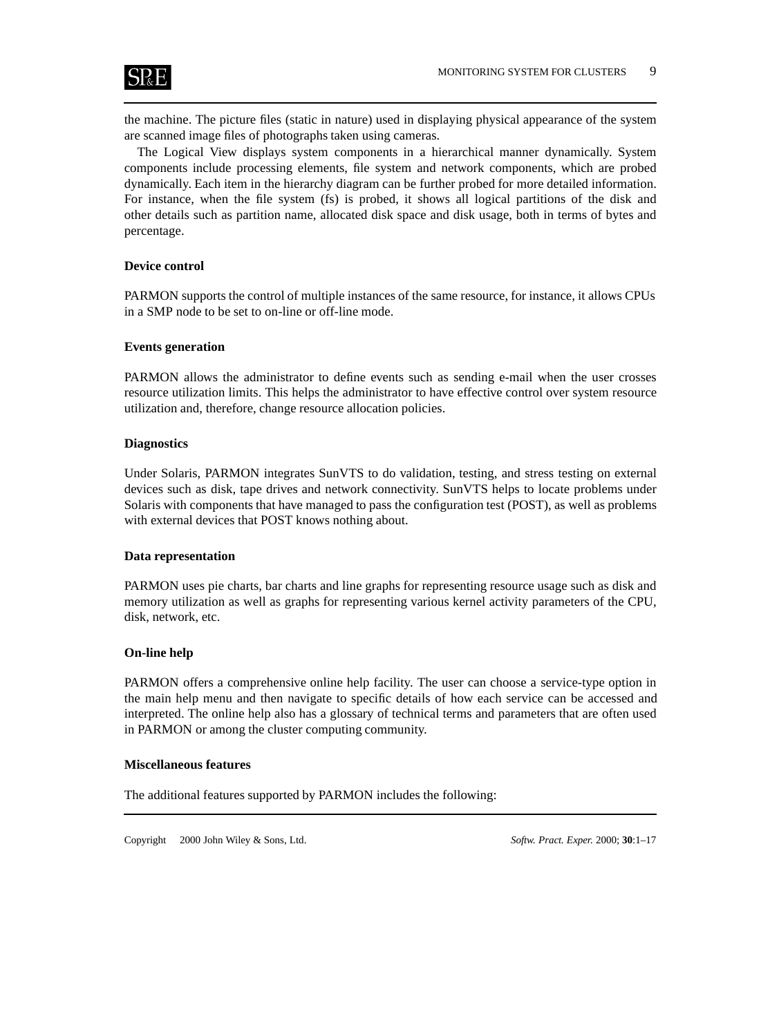

the machine. The picture files (static in nature) used in displaying physical appearance of the system are scanned image files of photographs taken using cameras.

The Logical View displays system components in a hierarchical manner dynamically. System components include processing elements, file system and network components, which are probed dynamically. Each item in the hierarchy diagram can be further probed for more detailed information. For instance, when the file system (fs) is probed, it shows all logical partitions of the disk and other details such as partition name, allocated disk space and disk usage, both in terms of bytes and percentage.

## **Device control**

PARMON supports the control of multiple instances of the same resource, for instance, it allows CPUs in a SMP node to be set to on-line or off-line mode.

## **Events generation**

PARMON allows the administrator to define events such as sending e-mail when the user crosses resource utilization limits. This helps the administrator to have effective control over system resource utilization and, therefore, change resource allocation policies.

## **Diagnostics**

Under Solaris, PARMON integrates SunVTS to do validation, testing, and stress testing on external devices such as disk, tape drives and network connectivity. SunVTS helps to locate problems under Solaris with components that have managed to pass the configuration test (POST), as well as problems with external devices that POST knows nothing about.

## **Data representation**

PARMON uses pie charts, bar charts and line graphs for representing resource usage such as disk and memory utilization as well as graphs for representing various kernel activity parameters of the CPU, disk, network, etc.

## **On-line help**

PARMON offers a comprehensive online help facility. The user can choose a service-type option in the main help menu and then navigate to specific details of how each service can be accessed and interpreted. The online help also has a glossary of technical terms and parameters that are often used in PARMON or among the cluster computing community.

## **Miscellaneous features**

The additional features supported by PARMON includes the following: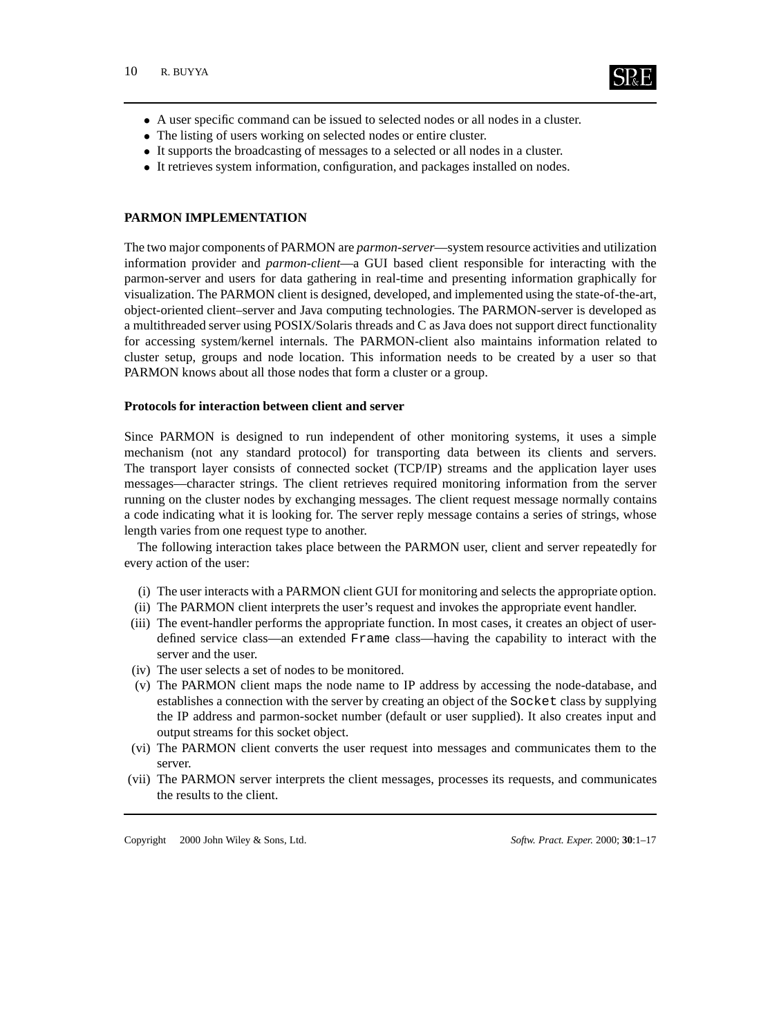- A user specific command can be issued to selected nodes or all nodes in a cluster.
- The listing of users working on selected nodes or entire cluster.
- It supports the broadcasting of messages to a selected or all nodes in a cluster.
- It retrieves system information, configuration, and packages installed on nodes.

#### **PARMON IMPLEMENTATION**

The two major components of PARMON are *parmon-server*—system resource activities and utilization information provider and *parmon-client*—a GUI based client responsible for interacting with the parmon-server and users for data gathering in real-time and presenting information graphically for visualization. The PARMON client is designed, developed, and implemented using the state-of-the-art, object-oriented client–server and Java computing technologies. The PARMON-server is developed as a multithreaded server using POSIX/Solaris threads and C as Java does not support direct functionality for accessing system/kernel internals. The PARMON-client also maintains information related to cluster setup, groups and node location. This information needs to be created by a user so that PARMON knows about all those nodes that form a cluster or a group.

#### **Protocols for interaction between client and server**

Since PARMON is designed to run independent of other monitoring systems, it uses a simple mechanism (not any standard protocol) for transporting data between its clients and servers. The transport layer consists of connected socket (TCP/IP) streams and the application layer uses messages—character strings. The client retrieves required monitoring information from the server running on the cluster nodes by exchanging messages. The client request message normally contains a code indicating what it is looking for. The server reply message contains a series of strings, whose length varies from one request type to another.

The following interaction takes place between the PARMON user, client and server repeatedly for every action of the user:

- (i) The user interacts with a PARMON client GUI for monitoring and selects the appropriate option.
- (ii) The PARMON client interprets the user's request and invokes the appropriate event handler.
- (iii) The event-handler performs the appropriate function. In most cases, it creates an object of userdefined service class—an extended Frame class—having the capability to interact with the server and the user.
- (iv) The user selects a set of nodes to be monitored.
- (v) The PARMON client maps the node name to IP address by accessing the node-database, and establishes a connection with the server by creating an object of the Socket class by supplying the IP address and parmon-socket number (default or user supplied). It also creates input and output streams for this socket object.
- (vi) The PARMON client converts the user request into messages and communicates them to the server.
- (vii) The PARMON server interprets the client messages, processes its requests, and communicates the results to the client.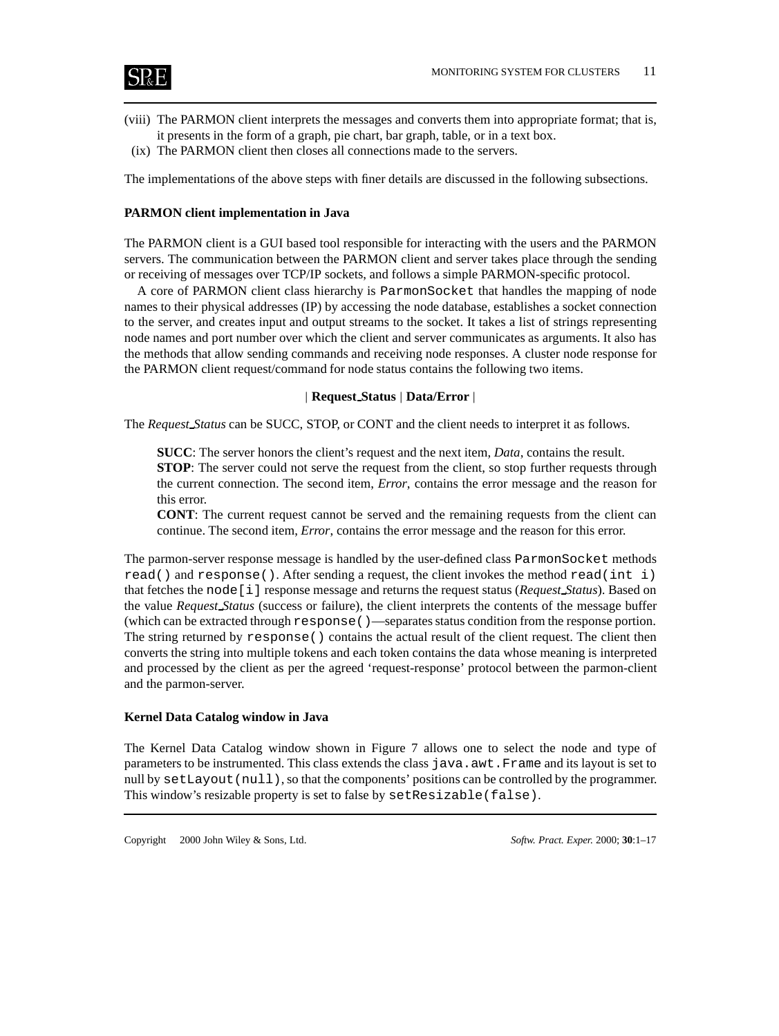

- (viii) The PARMON client interprets the messages and converts them into appropriate format; that is, it presents in the form of a graph, pie chart, bar graph, table, or in a text box.
- (ix) The PARMON client then closes all connections made to the servers.

The implementations of the above steps with finer details are discussed in the following subsections.

# **PARMON client implementation in Java**

The PARMON client is a GUI based tool responsible for interacting with the users and the PARMON servers. The communication between the PARMON client and server takes place through the sending or receiving of messages over TCP/IP sockets, and follows a simple PARMON-specific protocol.

A core of PARMON client class hierarchy is ParmonSocket that handles the mapping of node names to their physical addresses (IP) by accessing the node database, establishes a socket connection to the server, and creates input and output streams to the socket. It takes a list of strings representing node names and port number over which the client and server communicates as arguments. It also has the methods that allow sending commands and receiving node responses. A cluster node response for the PARMON client request/command for node status contains the following two items.

## | **Request Status** | **Data/Error** |

The *Request Status* can be SUCC, STOP, or CONT and the client needs to interpret it as follows.

**SUCC**: The server honors the client's request and the next item, *Data*, contains the result. **STOP**: The server could not serve the request from the client, so stop further requests through the current connection. The second item, *Error*, contains the error message and the reason for this error.

**CONT**: The current request cannot be served and the remaining requests from the client can continue. The second item, *Error*, contains the error message and the reason for this error.

The parmon-server response message is handled by the user-defined class ParmonSocket methods read() and response(). After sending a request, the client invokes the method read(int i) that fetches the node[i] response message and returns the request status (*Request Status*). Based on the value *Request Status* (success or failure), the client interprets the contents of the message buffer (which can be extracted through response()—separates status condition from the response portion. The string returned by response() contains the actual result of the client request. The client then converts the string into multiple tokens and each token contains the data whose meaning is interpreted and processed by the client as per the agreed 'request-response' protocol between the parmon-client and the parmon-server.

## **Kernel Data Catalog window in Java**

The Kernel Data Catalog window shown in Figure 7 allows one to select the node and type of parameters to be instrumented. This class extends the class java.awt.Frame and its layout is set to null by  $setLayout(null)$ , so that the components' positions can be controlled by the programmer. This window's resizable property is set to false by setResizable(false).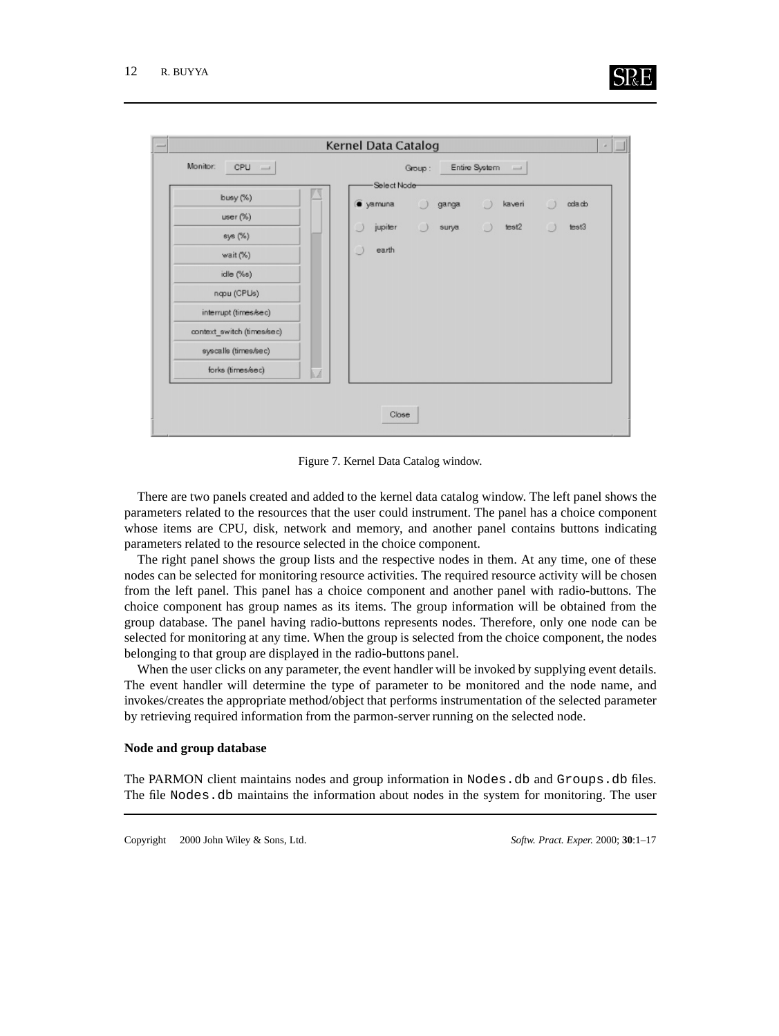|                            |         | Select Node- |                    |       |                  |        |        |
|----------------------------|---------|--------------|--------------------|-------|------------------|--------|--------|
| busy (%)                   | n.<br>- | e yamuna     | $\cup$             | ganga | kaveri<br>$\cup$ | $\cup$ | oda cb |
| user (%)                   |         |              |                    |       |                  |        |        |
| sys (%)                    |         | jupiter<br>∪ | $\left( \ \right)$ | surya | test2<br>$\cup$  | $\Box$ | test3  |
| wait (%)                   |         | earth<br>⊃   |                    |       |                  |        |        |
| idle (%s)                  |         |              |                    |       |                  |        |        |
| nopu (CPUs)                |         |              |                    |       |                  |        |        |
| interrupt (times/sec)      |         |              |                    |       |                  |        |        |
| context_switch (times/sec) |         |              |                    |       |                  |        |        |
| syscalls (times/sec)       |         |              |                    |       |                  |        |        |
| forks (times/sec)          | A       |              |                    |       |                  |        |        |
|                            |         |              |                    |       |                  |        |        |

Figure 7. Kernel Data Catalog window.

There are two panels created and added to the kernel data catalog window. The left panel shows the parameters related to the resources that the user could instrument. The panel has a choice component whose items are CPU, disk, network and memory, and another panel contains buttons indicating parameters related to the resource selected in the choice component.

The right panel shows the group lists and the respective nodes in them. At any time, one of these nodes can be selected for monitoring resource activities. The required resource activity will be chosen from the left panel. This panel has a choice component and another panel with radio-buttons. The choice component has group names as its items. The group information will be obtained from the group database. The panel having radio-buttons represents nodes. Therefore, only one node can be selected for monitoring at any time. When the group is selected from the choice component, the nodes belonging to that group are displayed in the radio-buttons panel.

When the user clicks on any parameter, the event handler will be invoked by supplying event details. The event handler will determine the type of parameter to be monitored and the node name, and invokes/creates the appropriate method/object that performs instrumentation of the selected parameter by retrieving required information from the parmon-server running on the selected node.

#### **Node and group database**

The PARMON client maintains nodes and group information in Nodes. db and Groups. db files. The file Nodes.db maintains the information about nodes in the system for monitoring. The user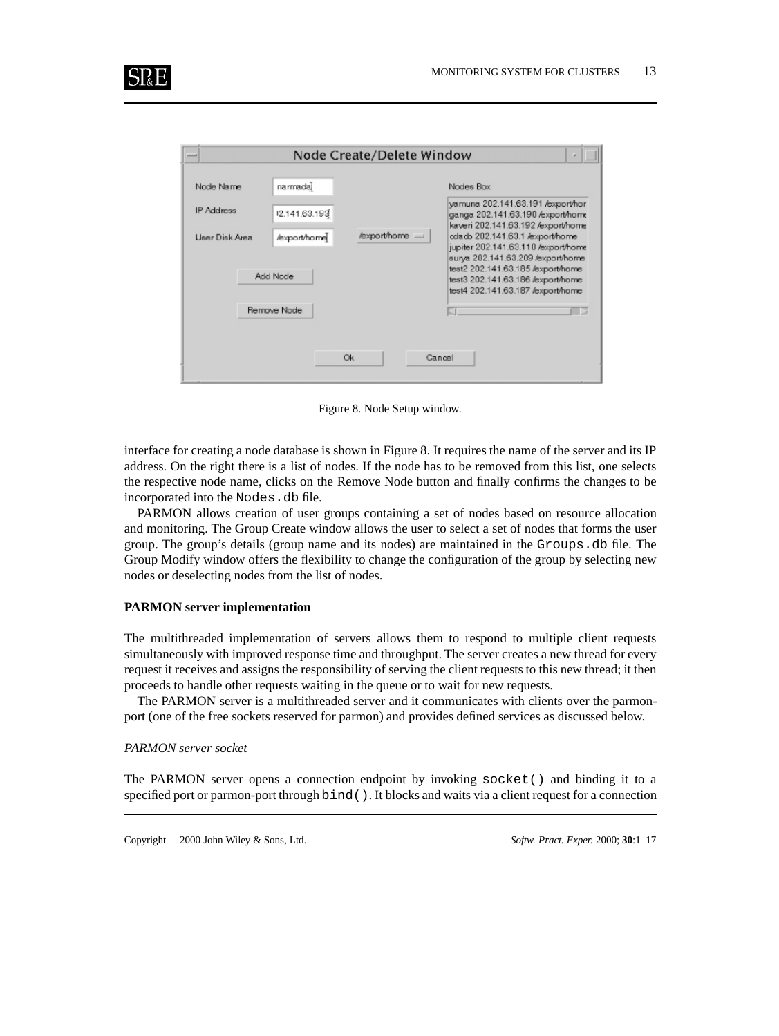

| -                      |               | Node Create/Delete Window |                                                                                                              |  |  |
|------------------------|---------------|---------------------------|--------------------------------------------------------------------------------------------------------------|--|--|
| Node Name              | narmada       |                           | Nodes Box                                                                                                    |  |  |
| IP Address             | 12.141.63.193 |                           | yamuna 202.141.63.191 /export/hor<br>ganga 202.141.63.190 /export/home<br>kaveri 202.141.63.192 /export/home |  |  |
| <b>LIser Disk Area</b> | /export/home  | /export/home              | oda.do 202.141.63.1 /export/home<br>jupiter 202.141.63.110 /export/home<br>surya 202.141.63.209 /export/home |  |  |
|                        | Add Node      |                           | test2 202.141.63.185 /export/home<br>test3 202.141.63.186 /export/home<br>test4 202.141.63.187 /export/home  |  |  |
|                        | Remove Node   |                           |                                                                                                              |  |  |
|                        |               | Cancel<br>Ok              |                                                                                                              |  |  |
|                        |               |                           |                                                                                                              |  |  |

Figure 8. Node Setup window.

interface for creating a node database is shown in Figure 8. It requires the name of the server and its IP address. On the right there is a list of nodes. If the node has to be removed from this list, one selects the respective node name, clicks on the Remove Node button and finally confirms the changes to be incorporated into the Nodes.db file.

PARMON allows creation of user groups containing a set of nodes based on resource allocation and monitoring. The Group Create window allows the user to select a set of nodes that forms the user group. The group's details (group name and its nodes) are maintained in the Groups.db file. The Group Modify window offers the flexibility to change the configuration of the group by selecting new nodes or deselecting nodes from the list of nodes.

#### **PARMON server implementation**

The multithreaded implementation of servers allows them to respond to multiple client requests simultaneously with improved response time and throughput. The server creates a new thread for every request it receives and assigns the responsibility of serving the client requests to this new thread; it then proceeds to handle other requests waiting in the queue or to wait for new requests.

The PARMON server is a multithreaded server and it communicates with clients over the parmonport (one of the free sockets reserved for parmon) and provides defined services as discussed below.

#### *PARMON server socket*

The PARMON server opens a connection endpoint by invoking socket() and binding it to a specified port or parmon-port through bind(). It blocks and waits via a client request for a connection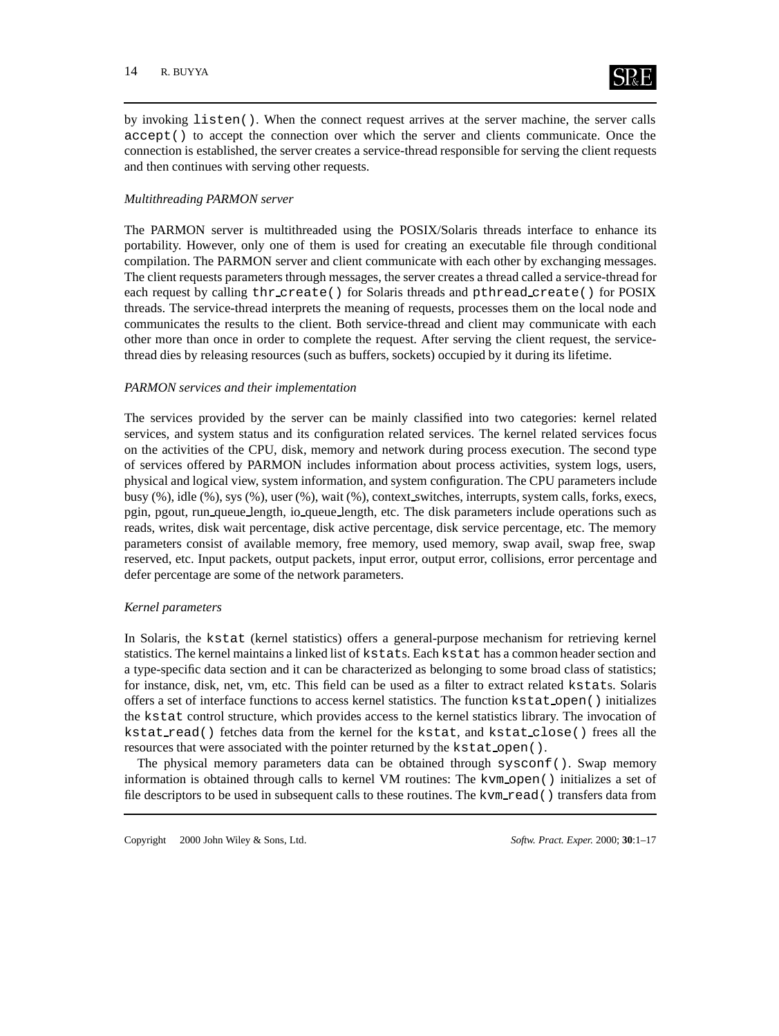by invoking listen(). When the connect request arrives at the server machine, the server calls accept() to accept the connection over which the server and clients communicate. Once the connection is established, the server creates a service-thread responsible for serving the client requests and then continues with serving other requests.

## *Multithreading PARMON server*

The PARMON server is multithreaded using the POSIX/Solaris threads interface to enhance its portability. However, only one of them is used for creating an executable file through conditional compilation. The PARMON server and client communicate with each other by exchanging messages. The client requests parameters through messages, the server creates a thread called a service-thread for each request by calling thr\_create() for Solaris threads and pthread\_create() for POSIX threads. The service-thread interprets the meaning of requests, processes them on the local node and communicates the results to the client. Both service-thread and client may communicate with each other more than once in order to complete the request. After serving the client request, the servicethread dies by releasing resources (such as buffers, sockets) occupied by it during its lifetime.

## *PARMON services and their implementation*

The services provided by the server can be mainly classified into two categories: kernel related services, and system status and its configuration related services. The kernel related services focus on the activities of the CPU, disk, memory and network during process execution. The second type of services offered by PARMON includes information about process activities, system logs, users, physical and logical view, system information, and system configuration. The CPU parameters include busy (%), idle (%), sys (%), user (%), wait (%), context switches, interrupts, system calls, forks, execs, pgin, pgout, run queue length, io queue length, etc. The disk parameters include operations such as reads, writes, disk wait percentage, disk active percentage, disk service percentage, etc. The memory parameters consist of available memory, free memory, used memory, swap avail, swap free, swap reserved, etc. Input packets, output packets, input error, output error, collisions, error percentage and defer percentage are some of the network parameters.

#### *Kernel parameters*

In Solaris, the kstat (kernel statistics) offers a general-purpose mechanism for retrieving kernel statistics. The kernel maintains a linked list of kstats. Each kstat has a common header section and a type-specific data section and it can be characterized as belonging to some broad class of statistics; for instance, disk, net, vm, etc. This field can be used as a filter to extract related kstats. Solaris offers a set of interface functions to access kernel statistics. The function kstat open() initializes the kstat control structure, which provides access to the kernel statistics library. The invocation of kstat\_read() fetches data from the kernel for the kstat, and kstat\_close() frees all the resources that were associated with the pointer returned by the kstat\_open().

The physical memory parameters data can be obtained through sysconf(). Swap memory information is obtained through calls to kernel VM routines: The  $kvm\_open$  () initializes a set of file descriptors to be used in subsequent calls to these routines. The kvm read () transfers data from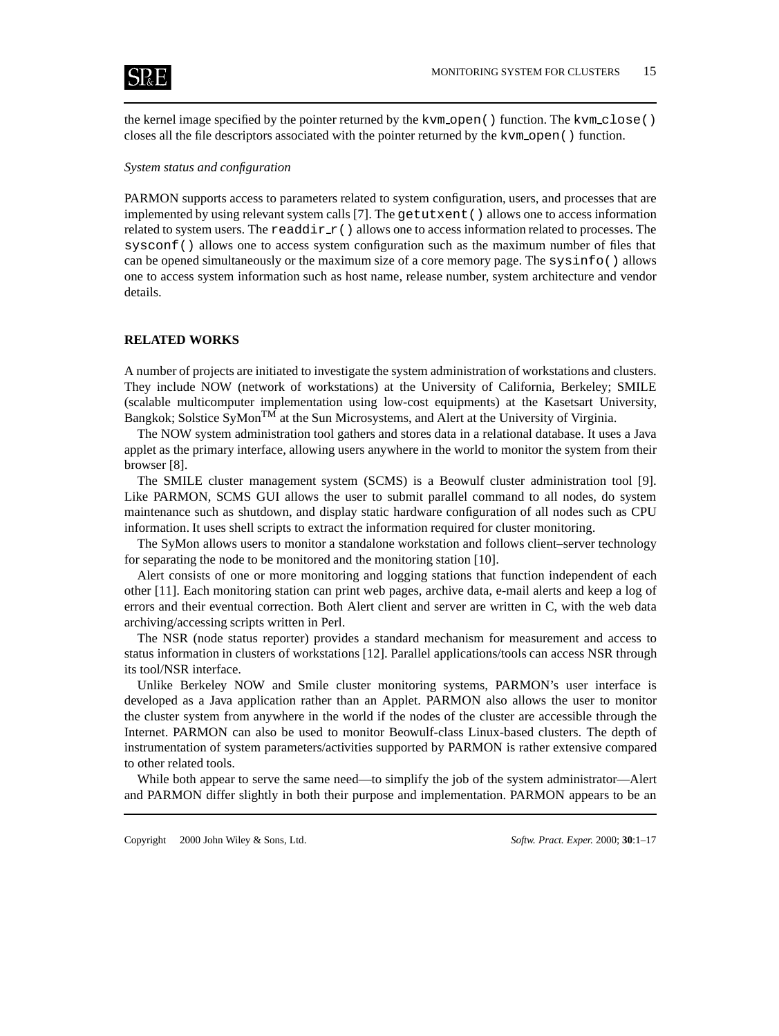the kernel image specified by the pointer returned by the kvm open () function. The kvm close () closes all the file descriptors associated with the pointer returned by the kvm\_open() function.

#### *System status and configuration*

PARMON supports access to parameters related to system configuration, users, and processes that are implemented by using relevant system calls [7]. The getutxent() allows one to access information related to system users. The readdir  $r(r)$  allows one to access information related to processes. The sysconf() allows one to access system configuration such as the maximum number of files that can be opened simultaneously or the maximum size of a core memory page. The sysinfo() allows one to access system information such as host name, release number, system architecture and vendor details.

# **RELATED WORKS**

A number of projects are initiated to investigate the system administration of workstations and clusters. They include NOW (network of workstations) at the University of California, Berkeley; SMILE (scalable multicomputer implementation using low-cost equipments) at the Kasetsart University, Bangkok; Solstice SyMon<sup>TM</sup> at the Sun Microsystems, and Alert at the University of Virginia.

The NOW system administration tool gathers and stores data in a relational database. It uses a Java applet as the primary interface, allowing users anywhere in the world to monitor the system from their browser [8].

The SMILE cluster management system (SCMS) is a Beowulf cluster administration tool [9]. Like PARMON, SCMS GUI allows the user to submit parallel command to all nodes, do system maintenance such as shutdown, and display static hardware configuration of all nodes such as CPU information. It uses shell scripts to extract the information required for cluster monitoring.

The SyMon allows users to monitor a standalone workstation and follows client–server technology for separating the node to be monitored and the monitoring station [10].

Alert consists of one or more monitoring and logging stations that function independent of each other [11]. Each monitoring station can print web pages, archive data, e-mail alerts and keep a log of errors and their eventual correction. Both Alert client and server are written in C, with the web data archiving/accessing scripts written in Perl.

The NSR (node status reporter) provides a standard mechanism for measurement and access to status information in clusters of workstations [12]. Parallel applications/tools can access NSR through its tool/NSR interface.

Unlike Berkeley NOW and Smile cluster monitoring systems, PARMON's user interface is developed as a Java application rather than an Applet. PARMON also allows the user to monitor the cluster system from anywhere in the world if the nodes of the cluster are accessible through the Internet. PARMON can also be used to monitor Beowulf-class Linux-based clusters. The depth of instrumentation of system parameters/activities supported by PARMON is rather extensive compared to other related tools.

While both appear to serve the same need—to simplify the job of the system administrator—Alert and PARMON differ slightly in both their purpose and implementation. PARMON appears to be an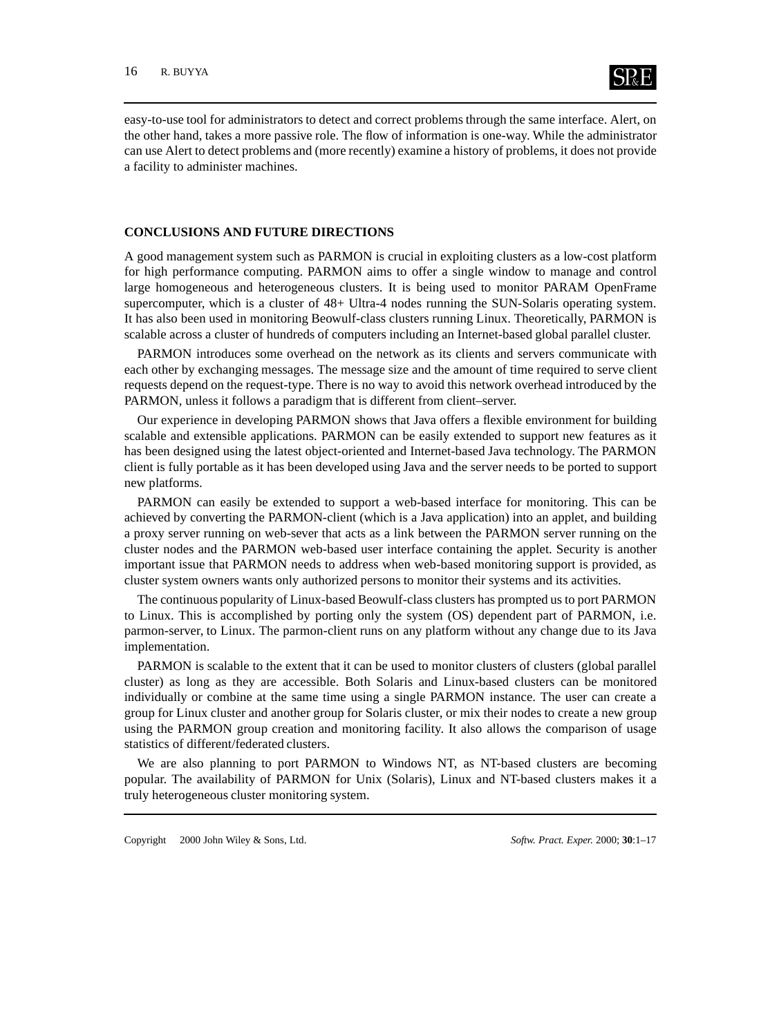easy-to-use tool for administrators to detect and correct problems through the same interface. Alert, on the other hand, takes a more passive role. The flow of information is one-way. While the administrator can use Alert to detect problems and (more recently) examine a history of problems, it does not provide a facility to administer machines.

#### **CONCLUSIONS AND FUTURE DIRECTIONS**

A good management system such as PARMON is crucial in exploiting clusters as a low-cost platform for high performance computing. PARMON aims to offer a single window to manage and control large homogeneous and heterogeneous clusters. It is being used to monitor PARAM OpenFrame supercomputer, which is a cluster of 48+ Ultra-4 nodes running the SUN-Solaris operating system. It has also been used in monitoring Beowulf-class clusters running Linux. Theoretically, PARMON is scalable across a cluster of hundreds of computers including an Internet-based global parallel cluster.

PARMON introduces some overhead on the network as its clients and servers communicate with each other by exchanging messages. The message size and the amount of time required to serve client requests depend on the request-type. There is no way to avoid this network overhead introduced by the PARMON, unless it follows a paradigm that is different from client–server.

Our experience in developing PARMON shows that Java offers a flexible environment for building scalable and extensible applications. PARMON can be easily extended to support new features as it has been designed using the latest object-oriented and Internet-based Java technology. The PARMON client is fully portable as it has been developed using Java and the server needs to be ported to support new platforms.

PARMON can easily be extended to support a web-based interface for monitoring. This can be achieved by converting the PARMON-client (which is a Java application) into an applet, and building a proxy server running on web-sever that acts as a link between the PARMON server running on the cluster nodes and the PARMON web-based user interface containing the applet. Security is another important issue that PARMON needs to address when web-based monitoring support is provided, as cluster system owners wants only authorized persons to monitor their systems and its activities.

The continuous popularity of Linux-based Beowulf-class clusters has prompted us to port PARMON to Linux. This is accomplished by porting only the system (OS) dependent part of PARMON, i.e. parmon-server, to Linux. The parmon-client runs on any platform without any change due to its Java implementation.

PARMON is scalable to the extent that it can be used to monitor clusters of clusters (global parallel cluster) as long as they are accessible. Both Solaris and Linux-based clusters can be monitored individually or combine at the same time using a single PARMON instance. The user can create a group for Linux cluster and another group for Solaris cluster, or mix their nodes to create a new group using the PARMON group creation and monitoring facility. It also allows the comparison of usage statistics of different/federated clusters.

We are also planning to port PARMON to Windows NT, as NT-based clusters are becoming popular. The availability of PARMON for Unix (Solaris), Linux and NT-based clusters makes it a truly heterogeneous cluster monitoring system.